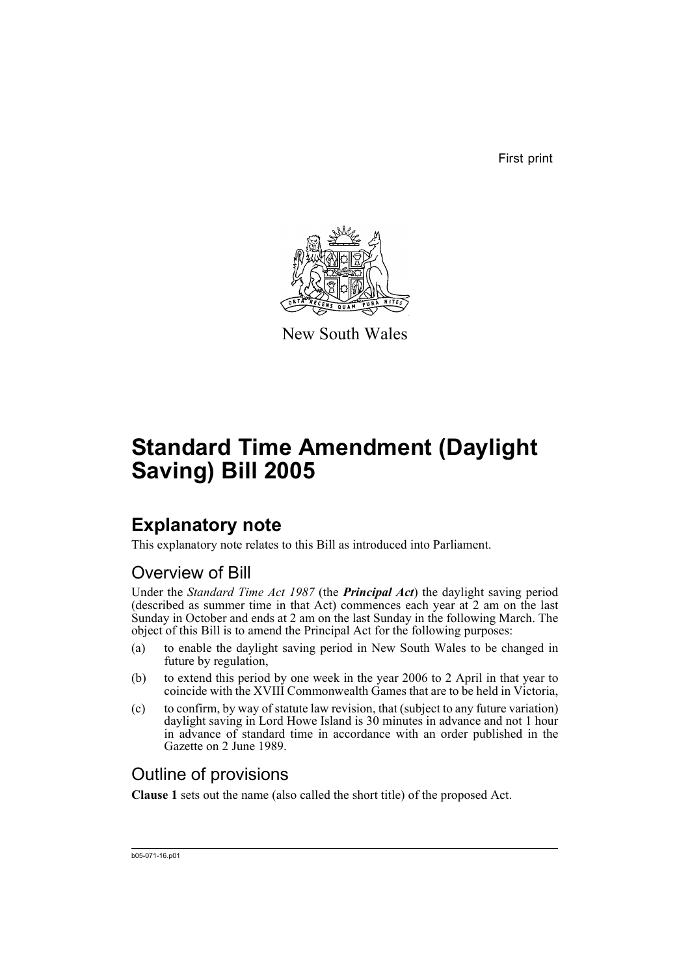First print



New South Wales

# **Standard Time Amendment (Daylight Saving) Bill 2005**

## **Explanatory note**

This explanatory note relates to this Bill as introduced into Parliament.

### Overview of Bill

Under the *Standard Time Act 1987* (the *Principal Act*) the daylight saving period (described as summer time in that Act) commences each year at 2 am on the last Sunday in October and ends at 2 am on the last Sunday in the following March. The object of this Bill is to amend the Principal Act for the following purposes:

- (a) to enable the daylight saving period in New South Wales to be changed in future by regulation,
- (b) to extend this period by one week in the year 2006 to 2 April in that year to coincide with the XVIII Commonwealth Games that are to be held in Victoria,
- (c) to confirm, by way of statute law revision, that (subject to any future variation) daylight saving in Lord Howe Island is 30 minutes in advance and not 1 hour in advance of standard time in accordance with an order published in the Gazette on 2 June 1989.

### Outline of provisions

**Clause 1** sets out the name (also called the short title) of the proposed Act.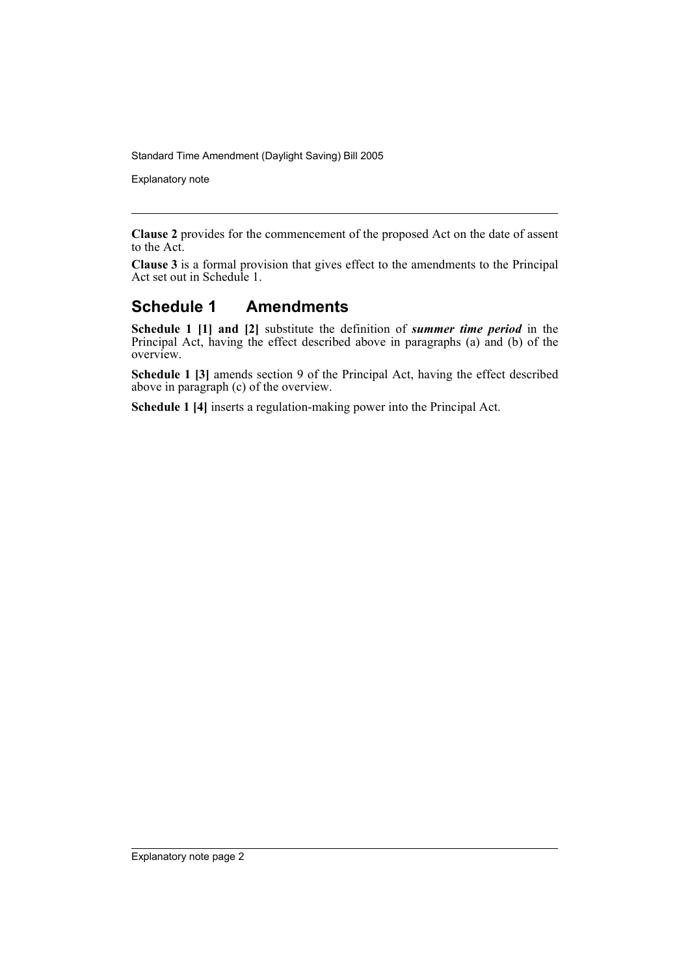Standard Time Amendment (Daylight Saving) Bill 2005

Explanatory note

**Clause 2** provides for the commencement of the proposed Act on the date of assent to the Act.

**Clause 3** is a formal provision that gives effect to the amendments to the Principal Act set out in Schedule 1.

#### **Schedule 1 Amendments**

**Schedule 1 [1] and [2]** substitute the definition of *summer time period* in the Principal Act, having the effect described above in paragraphs (a) and (b) of the overview.

**Schedule 1 [3]** amends section 9 of the Principal Act, having the effect described above in paragraph (c) of the overview.

**Schedule 1 [4]** inserts a regulation-making power into the Principal Act.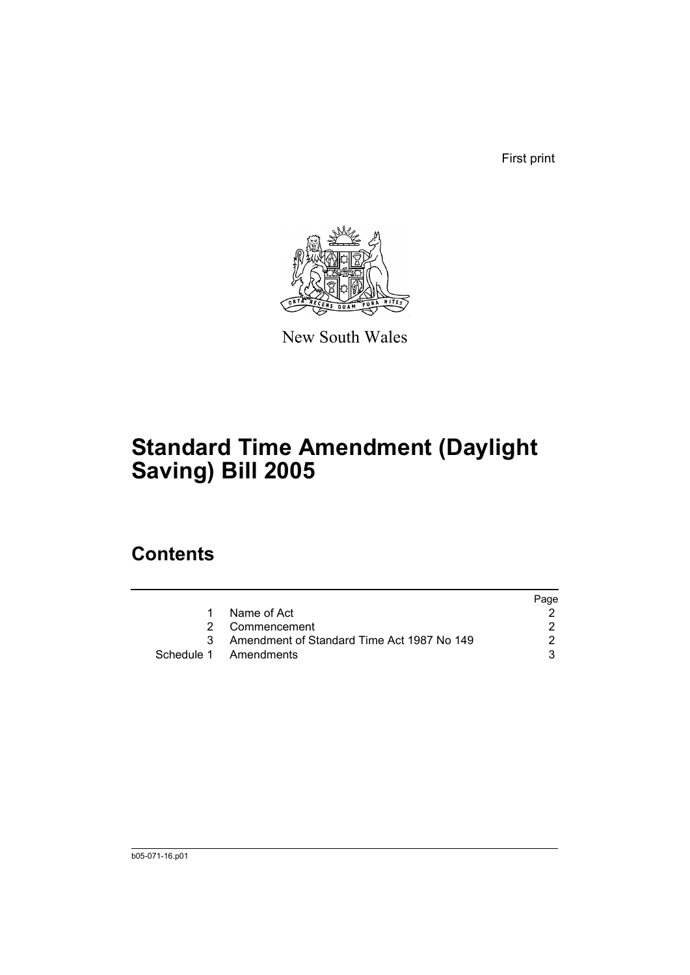First print



New South Wales

# **Standard Time Amendment (Daylight Saving) Bill 2005**

### **Contents**

|   |                                              | Page |
|---|----------------------------------------------|------|
| 1 | Name of Act                                  |      |
|   | 2 Commencement                               |      |
|   | 3 Amendment of Standard Time Act 1987 No 149 |      |
|   | Schedule 1 Amendments                        |      |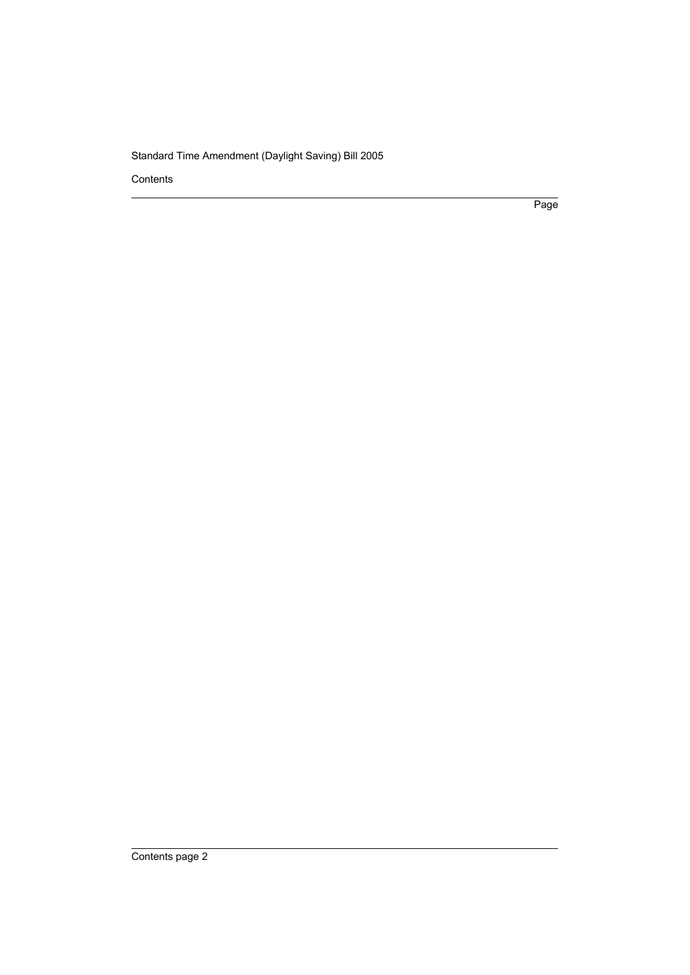Standard Time Amendment (Daylight Saving) Bill 2005

Contents

Page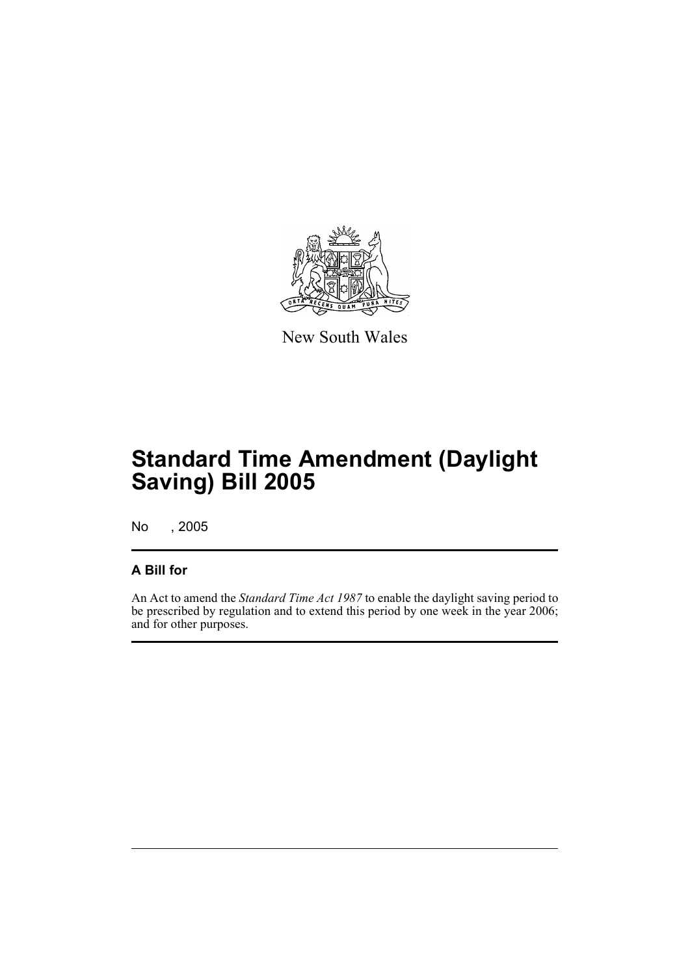

New South Wales

# **Standard Time Amendment (Daylight Saving) Bill 2005**

No , 2005

#### **A Bill for**

An Act to amend the *Standard Time Act 1987* to enable the daylight saving period to be prescribed by regulation and to extend this period by one week in the year 2006; and for other purposes.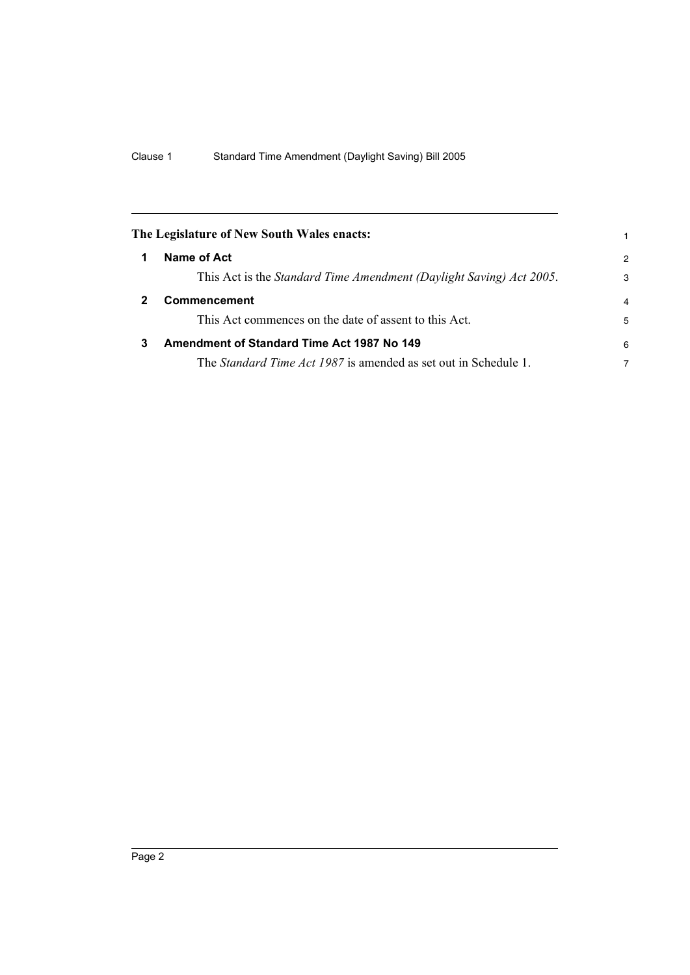<span id="page-5-2"></span><span id="page-5-1"></span><span id="page-5-0"></span>

|   | The Legislature of New South Wales enacts:                             |   |
|---|------------------------------------------------------------------------|---|
|   | Name of Act                                                            | 2 |
|   | This Act is the Standard Time Amendment (Daylight Saving) Act 2005.    | 3 |
|   | Commencement                                                           | 4 |
|   | This Act commences on the date of assent to this Act.                  | 5 |
| 3 | Amendment of Standard Time Act 1987 No 149                             | 6 |
|   | The <i>Standard Time Act 1987</i> is amended as set out in Schedule 1. | 7 |